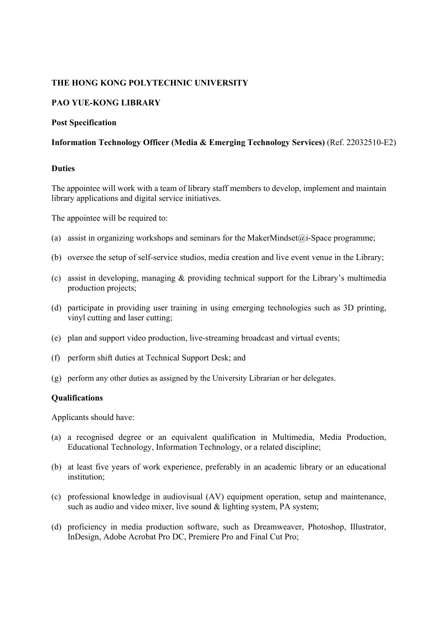## **THE HONG KONG POLYTECHNIC UNIVERSITY**

# **PAO YUE-KONG LIBRARY**

#### **Post Specification**

#### **Information Technology Officer (Media & Emerging Technology Services)** (Ref. 22032510-E2)

#### **Duties**

The appointee will work with a team of library staff members to develop, implement and maintain library applications and digital service initiatives.

The appointee will be required to:

- (a) assist in organizing workshops and seminars for the MakerMindset $(\hat{a})$ -Space programme;
- (b) oversee the setup of self-service studios, media creation and live event venue in the Library;
- (c) assist in developing, managing & providing technical support for the Library's multimedia production projects;
- (d) participate in providing user training in using emerging technologies such as 3D printing, vinyl cutting and laser cutting;
- (e) plan and support video production, live-streaming broadcast and virtual events;
- (f) perform shift duties at Technical Support Desk; and
- (g) perform any other duties as assigned by the University Librarian or her delegates.

#### **Qualifications**

Applicants should have:

- (a) a recognised degree or an equivalent qualification in Multimedia, Media Production, Educational Technology, Information Technology, or a related discipline;
- (b) at least five years of work experience, preferably in an academic library or an educational institution;
- (c) professional knowledge in audiovisual (AV) equipment operation, setup and maintenance, such as audio and video mixer, live sound & lighting system, PA system;
- (d) proficiency in media production software, such as Dreamweaver, Photoshop, Illustrator, InDesign, Adobe Acrobat Pro DC, Premiere Pro and Final Cut Pro;